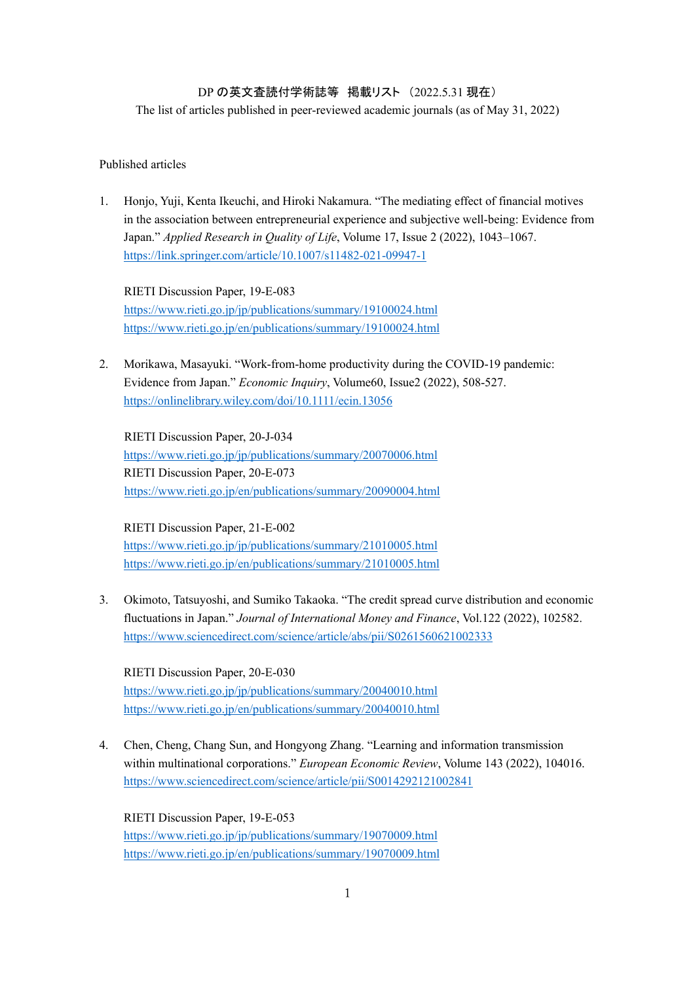# DP の英文査読付学術誌等 掲載リスト (2022.5.31 現在)

The list of articles published in peer-reviewed academic journals (as of May 31, 2022)

## Published articles

1. Honjo, Yuji, Kenta Ikeuchi, and Hiroki Nakamura. "The mediating effect of financial motives in the association between entrepreneurial experience and subjective well-being: Evidence from Japan." *Applied Research in Quality of Life*, Volume 17, Issue 2 (2022), 1043–1067. <https://link.springer.com/article/10.1007/s11482-021-09947-1>

RIETI Discussion Paper, 19-E-083 <https://www.rieti.go.jp/jp/publications/summary/19100024.html> <https://www.rieti.go.jp/en/publications/summary/19100024.html>

2. Morikawa, Masayuki. "Work-from-home productivity during the COVID-19 pandemic: Evidence from Japan." *Economic Inquiry*, Volume60, Issue2 (2022), 508-527. <https://onlinelibrary.wiley.com/doi/10.1111/ecin.13056>

RIETI Discussion Paper, 20-J-034 <https://www.rieti.go.jp/jp/publications/summary/20070006.html> RIETI Discussion Paper, 20-E-073 <https://www.rieti.go.jp/en/publications/summary/20090004.html>

### RIETI Discussion Paper, 21-E-002

<https://www.rieti.go.jp/jp/publications/summary/21010005.html> <https://www.rieti.go.jp/en/publications/summary/21010005.html>

3. Okimoto, Tatsuyoshi, and Sumiko Takaoka. "The credit spread curve distribution and economic fluctuations in Japan." *Journal of International Money and Finance*, Vol.122 (2022), 102582. <https://www.sciencedirect.com/science/article/abs/pii/S0261560621002333>

RIETI Discussion Paper, 20-E-030 <https://www.rieti.go.jp/jp/publications/summary/20040010.html> <https://www.rieti.go.jp/en/publications/summary/20040010.html>

4. Chen, Cheng, Chang Sun, and Hongyong Zhang. "Learning and information transmission within multinational corporations." *European Economic Review*, Volume 143 (2022), 104016. <https://www.sciencedirect.com/science/article/pii/S0014292121002841>

RIETI Discussion Paper, 19-E-053 <https://www.rieti.go.jp/jp/publications/summary/19070009.html> <https://www.rieti.go.jp/en/publications/summary/19070009.html>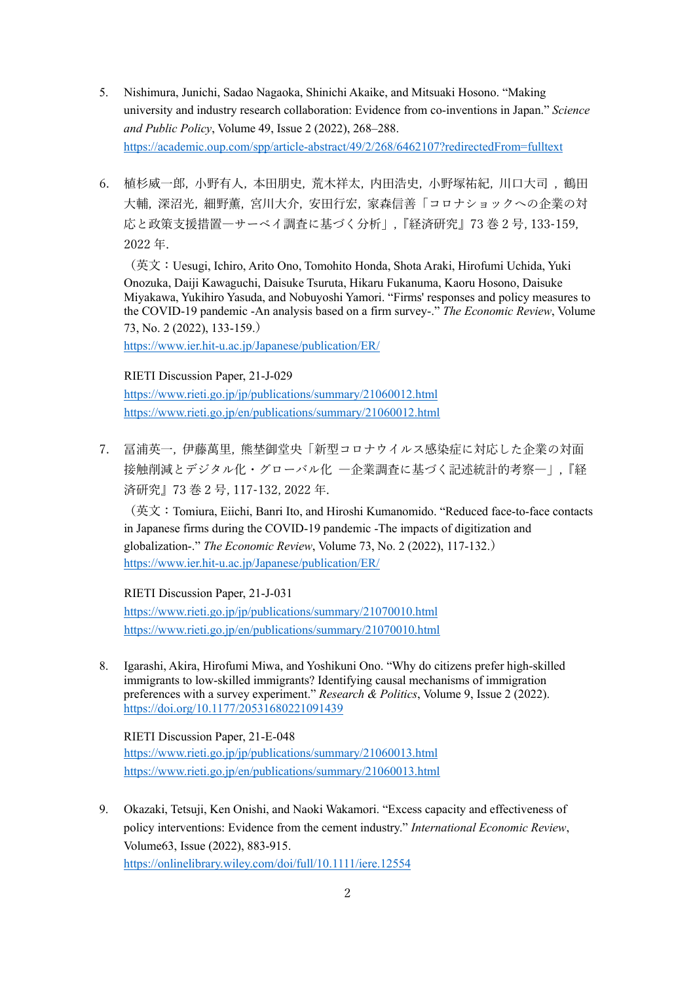- 5. Nishimura, Junichi, Sadao Nagaoka, Shinichi Akaike, and Mitsuaki Hosono. "Making university and industry research collaboration: Evidence from co-inventions in Japan." *Science and Public Policy*, Volume 49, Issue 2 (2022), 268–288. <https://academic.oup.com/spp/article-abstract/49/2/268/6462107?redirectedFrom=fulltext>
- 6. 植杉威一郎, 小野有人, 本田朋史, 荒木祥太, 内田浩史, 小野塚祐紀, 川口大司 , 鶴田 大輔, 深沼光, 細野薫, 宮川大介, 安田行宏, 家森信善「コロナショックへの企業の対 応と政策支援措置―サーベイ調査に基づく分析」,『経済研究』73 巻 2 号, 133-159, 2022 年.

(英文:Uesugi, Ichiro, Arito Ono, Tomohito Honda, Shota Araki, Hirofumi Uchida, Yuki Onozuka, Daiji Kawaguchi, Daisuke Tsuruta, Hikaru Fukanuma, Kaoru Hosono, Daisuke Miyakawa, Yukihiro Yasuda, and Nobuyoshi Yamori. "Firms' responses and policy measures to the COVID-19 pandemic -An analysis based on a firm survey-." *The Economic Review*, Volume 73, No. 2 (2022), 133-159.)

<https://www.ier.hit-u.ac.jp/Japanese/publication/ER/>

## RIETI Discussion Paper, 21-J-029

<https://www.rieti.go.jp/jp/publications/summary/21060012.html> <https://www.rieti.go.jp/en/publications/summary/21060012.html>

7. 冨浦英一, 伊藤萬里, 熊埜御堂央「新型コロナウイルス感染症に対応した企業の対面 接触削減とデジタル化・グローバル化 ―企業調査に基づく記述統計的考察―」,『経 済研究』73 巻 2 号, 117-132, 2022 年.

(英文:Tomiura, Eiichi, Banri Ito, and Hiroshi Kumanomido. "Reduced face-to-face contacts in Japanese firms during the COVID-19 pandemic -The impacts of digitization and globalization-." *The Economic Review*, Volume 73, No. 2 (2022), 117-132.) <https://www.ier.hit-u.ac.jp/Japanese/publication/ER/>

RIETI Discussion Paper, 21-J-031 <https://www.rieti.go.jp/jp/publications/summary/21070010.html> <https://www.rieti.go.jp/en/publications/summary/21070010.html>

8. Igarashi, Akira, Hirofumi Miwa, and Yoshikuni Ono. "Why do citizens prefer high-skilled immigrants to low-skilled immigrants? Identifying causal mechanisms of immigration preferences with a survey experiment." *Research & Politics*, Volume 9, Issue 2 (2022). <https://doi.org/10.1177/20531680221091439>

RIETI Discussion Paper, 21-E-048 <https://www.rieti.go.jp/jp/publications/summary/21060013.html> <https://www.rieti.go.jp/en/publications/summary/21060013.html>

9. Okazaki, Tetsuji, Ken Onishi, and Naoki Wakamori. "Excess capacity and effectiveness of policy interventions: Evidence from the cement industry." *International Economic Review*, Volume63, Issue (2022), 883-915. <https://onlinelibrary.wiley.com/doi/full/10.1111/iere.12554>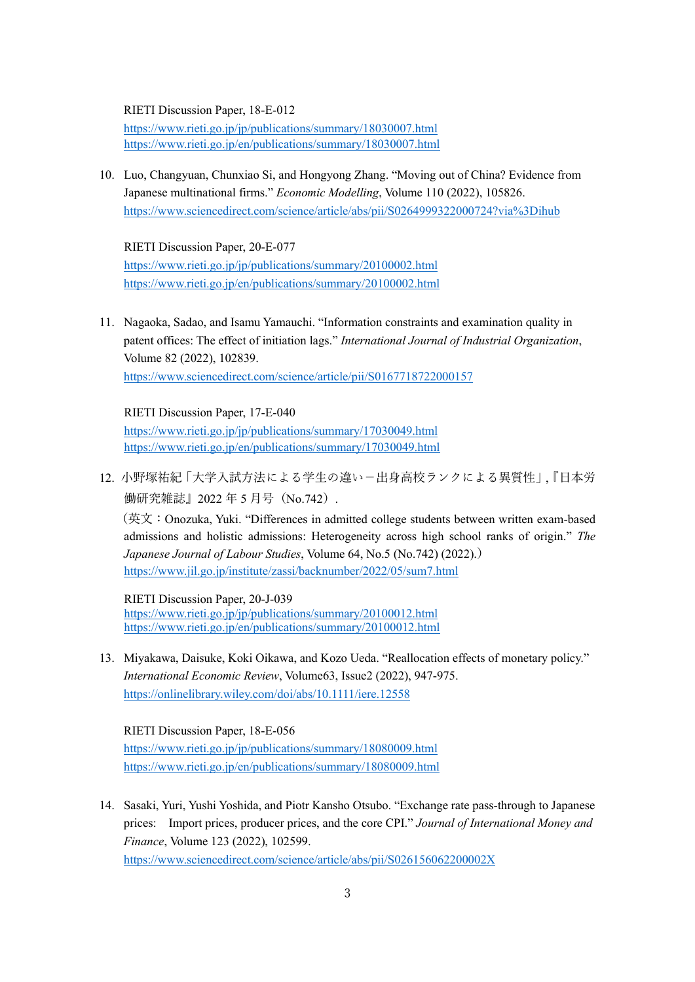#### RIETI Discussion Paper, 18-E-012

<https://www.rieti.go.jp/jp/publications/summary/18030007.html> <https://www.rieti.go.jp/en/publications/summary/18030007.html>

10. Luo, Changyuan, Chunxiao Si, and Hongyong Zhang. "Moving out of China? Evidence from Japanese multinational firms." *Economic Modelling*, Volume 110 (2022), 105826. <https://www.sciencedirect.com/science/article/abs/pii/S0264999322000724?via%3Dihub>

RIETI Discussion Paper, 20-E-077 <https://www.rieti.go.jp/jp/publications/summary/20100002.html> <https://www.rieti.go.jp/en/publications/summary/20100002.html>

11. Nagaoka, Sadao, and Isamu Yamauchi. "Information constraints and examination quality in patent offices: The effect of initiation lags." *International Journal of Industrial Organization*, Volume 82 (2022), 102839. <https://www.sciencedirect.com/science/article/pii/S0167718722000157>

RIETI Discussion Paper, 17-E-040 <https://www.rieti.go.jp/jp/publications/summary/17030049.html> <https://www.rieti.go.jp/en/publications/summary/17030049.html>

12. 小野塚祐紀「大学入試方法による学生の違い-出身高校ランクによる異質性」,『日本労 働研究雑誌Ⅰ 2022年5月号 (No.742).

(英文:Onozuka, Yuki. "Differences in admitted college students between written exam-based admissions and holistic admissions: Heterogeneity across high school ranks of origin." *The Japanese Journal of Labour Studies*, Volume 64, No.5 (No.742) (2022).) <https://www.jil.go.jp/institute/zassi/backnumber/2022/05/sum7.html>

RIETI Discussion Paper, 20-J-039 <https://www.rieti.go.jp/jp/publications/summary/20100012.html> <https://www.rieti.go.jp/en/publications/summary/20100012.html>

13. Miyakawa, Daisuke, Koki Oikawa, and Kozo Ueda. "Reallocation effects of monetary policy." *International Economic Review*, Volume63, Issue2 (2022), 947-975. <https://onlinelibrary.wiley.com/doi/abs/10.1111/iere.12558>

RIETI Discussion Paper, 18-E-056 <https://www.rieti.go.jp/jp/publications/summary/18080009.html> <https://www.rieti.go.jp/en/publications/summary/18080009.html>

14. Sasaki, Yuri, Yushi Yoshida, and Piotr Kansho Otsubo. "Exchange rate pass-through to Japanese prices: Import prices, producer prices, and the core CPI." *Journal of International Money and Finance*, Volume 123 (2022), 102599. <https://www.sciencedirect.com/science/article/abs/pii/S026156062200002X>